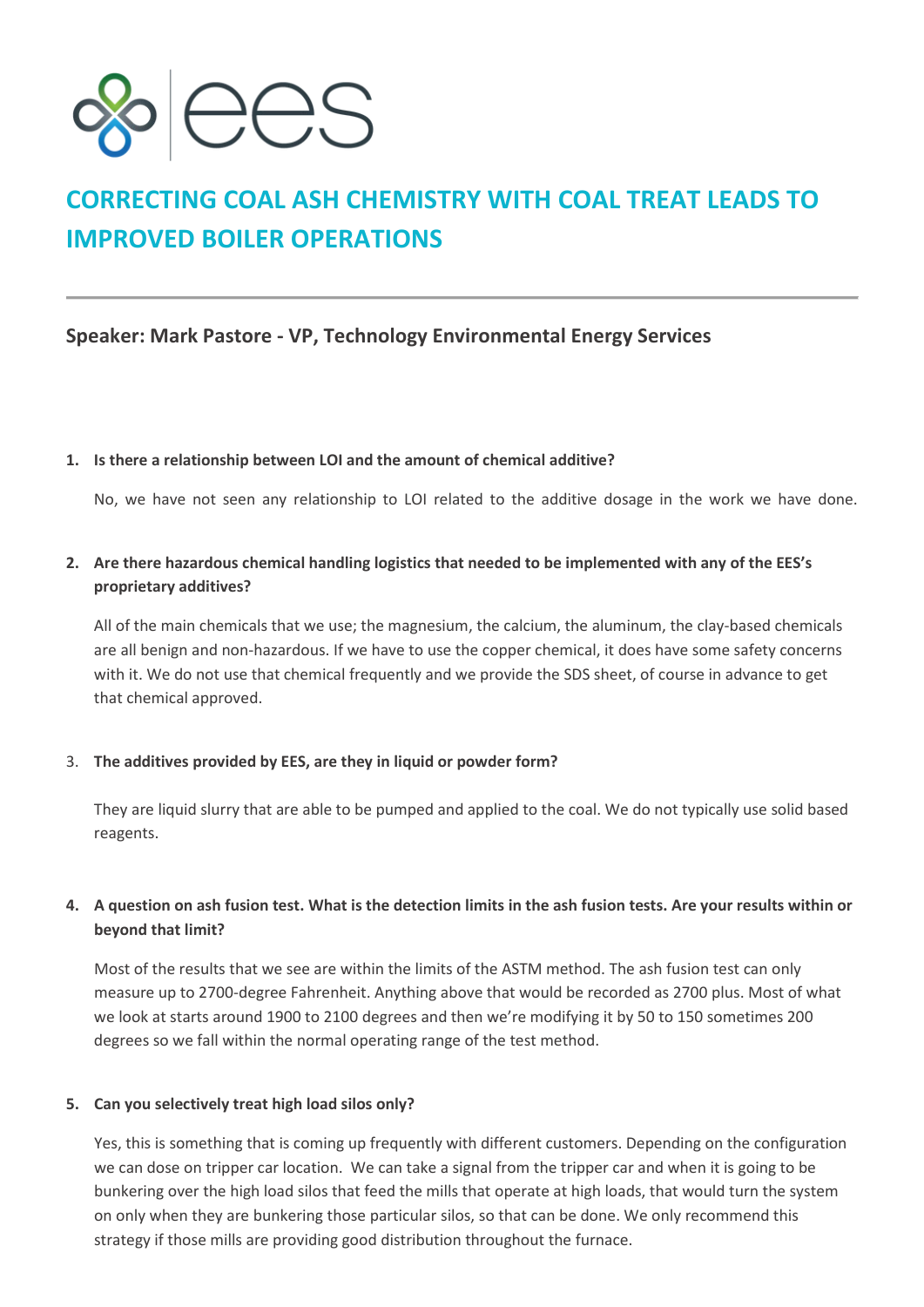

# **CORRECTING COAL ASH CHEMISTRY WITH COAL TREAT LEADS TO IMPROVED BOILER OPERATIONS**

## **Speaker: Mark Pastore - VP, Technology Environmental Energy Services**

#### **1. Is there a relationship between LOI and the amount of chemical additive?**

No, we have not seen any relationship to LOI related to the additive dosage in the work we have done.

## **2. Are there hazardous chemical handling logistics that needed to be implemented with any of the EES's proprietary additives?**

All of the main chemicals that we use; the magnesium, the calcium, the aluminum, the clay-based chemicals are all benign and non-hazardous. If we have to use the copper chemical, it does have some safety concerns with it. We do not use that chemical frequently and we provide the SDS sheet, of course in advance to get that chemical approved.

#### 3. **The additives provided by EES, are they in liquid or powder form?**

They are liquid slurry that are able to be pumped and applied to the coal. We do not typically use solid based reagents.

### **4. A question on ash fusion test. What is the detection limits in the ash fusion tests. Are your results within or beyond that limit?**

Most of the results that we see are within the limits of the ASTM method. The ash fusion test can only measure up to 2700-degree Fahrenheit. Anything above that would be recorded as 2700 plus. Most of what we look at starts around 1900 to 2100 degrees and then we're modifying it by 50 to 150 sometimes 200 degrees so we fall within the normal operating range of the test method.

#### **5. Can you selectively treat high load silos only?**

Yes, this is something that is coming up frequently with different customers. Depending on the configuration we can dose on tripper car location. We can take a signal from the tripper car and when it is going to be bunkering over the high load silos that feed the mills that operate at high loads, that would turn the system on only when they are bunkering those particular silos, so that can be done. We only recommend this strategy if those mills are providing good distribution throughout the furnace.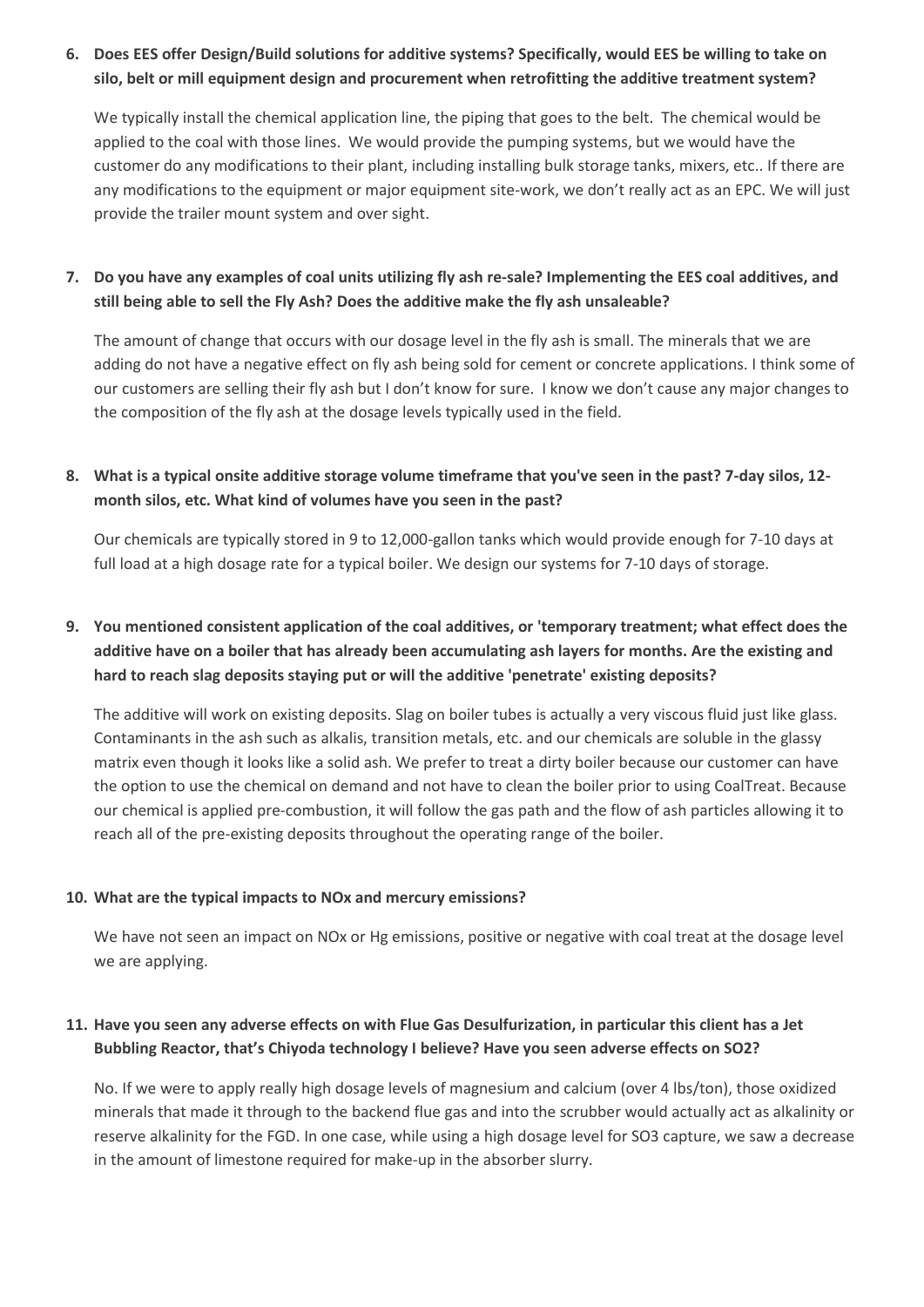## **6. Does EES offer Design/Build solutions for additive systems? Specifically, would EES be willing to take on silo, belt or mill equipment design and procurement when retrofitting the additive treatment system?**

We typically install the chemical application line, the piping that goes to the belt. The chemical would be applied to the coal with those lines. We would provide the pumping systems, but we would have the customer do any modifications to their plant, including installing bulk storage tanks, mixers, etc.. If there are any modifications to the equipment or major equipment site-work, we don't really act as an EPC. We will just provide the trailer mount system and over sight.

## **7. Do you have any examples of coal units utilizing fly ash re-sale? Implementing the EES coal additives, and still being able to sell the Fly Ash? Does the additive make the fly ash unsaleable?**

The amount of change that occurs with our dosage level in the fly ash is small. The minerals that we are adding do not have a negative effect on fly ash being sold for cement or concrete applications. I think some of our customers are selling their fly ash but I don't know for sure. I know we don't cause any major changes to the composition of the fly ash at the dosage levels typically used in the field.

## **8. What is a typical onsite additive storage volume timeframe that you've seen in the past? 7-day silos, 12 month silos, etc. What kind of volumes have you seen in the past?**

Our chemicals are typically stored in 9 to 12,000-gallon tanks which would provide enough for 7-10 days at full load at a high dosage rate for a typical boiler. We design our systems for 7-10 days of storage.

## **9. You mentioned consistent application of the coal additives, or 'temporary treatment; what effect does the additive have on a boiler that has already been accumulating ash layers for months. Are the existing and hard to reach slag deposits staying put or will the additive 'penetrate' existing deposits?**

The additive will work on existing deposits. Slag on boiler tubes is actually a very viscous fluid just like glass. Contaminants in the ash such as alkalis, transition metals, etc. and our chemicals are soluble in the glassy matrix even though it looks like a solid ash. We prefer to treat a dirty boiler because our customer can have the option to use the chemical on demand and not have to clean the boiler prior to using CoalTreat. Because our chemical is applied pre-combustion, it will follow the gas path and the flow of ash particles allowing it to reach all of the pre-existing deposits throughout the operating range of the boiler.

#### **10. What are the typical impacts to NOx and mercury emissions?**

We have not seen an impact on NOx or Hg emissions, positive or negative with coal treat at the dosage level we are applying.

## **11. Have you seen any adverse effects on with Flue Gas Desulfurization, in particular this client has a Jet Bubbling Reactor, that's Chiyoda technology I believe? Have you seen adverse effects on SO2?**

No. If we were to apply really high dosage levels of magnesium and calcium (over 4 lbs/ton), those oxidized minerals that made it through to the backend flue gas and into the scrubber would actually act as alkalinity or reserve alkalinity for the FGD. In one case, while using a high dosage level for SO3 capture, we saw a decrease in the amount of limestone required for make-up in the absorber slurry.